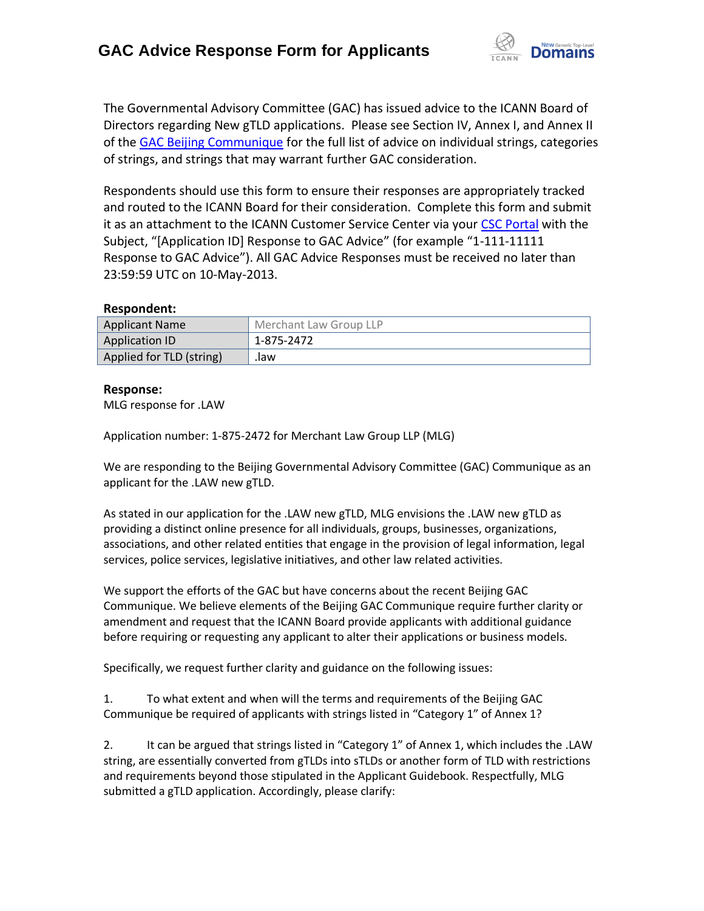

The Governmental Advisory Committee (GAC) has issued advice to the ICANN Board of Directors regarding New gTLD applications. Please see Section IV, Annex I, and Annex II of the [GAC Beijing Communique](http://www.icann.org/en/news/correspondence/gac-to-board-18apr13-en.pdf) for the full list of advice on individual strings, categories of strings, and strings that may warrant further GAC consideration.

Respondents should use this form to ensure their responses are appropriately tracked and routed to the ICANN Board for their consideration. Complete this form and submit it as an attachment to the ICANN Customer Service Center via your CSC [Portal](https://myicann.secure.force.com/) with the Subject, "[Application ID] Response to GAC Advice" (for example "1-111-11111 Response to GAC Advice"). All GAC Advice Responses must be received no later than 23:59:59 UTC on 10-May-2013.

## **Respondent:**

| <b>Applicant Name</b>    | Merchant Law Group LLP |
|--------------------------|------------------------|
| Application ID           | 1-875-2472             |
| Applied for TLD (string) | .law                   |

## **Response:**

MLG response for .LAW

Application number: 1-875-2472 for Merchant Law Group LLP (MLG)

We are responding to the Beijing Governmental Advisory Committee (GAC) Communique as an applicant for the .LAW new gTLD.

As stated in our application for the .LAW new gTLD, MLG envisions the .LAW new gTLD as providing a distinct online presence for all individuals, groups, businesses, organizations, associations, and other related entities that engage in the provision of legal information, legal services, police services, legislative initiatives, and other law related activities.

We support the efforts of the GAC but have concerns about the recent Beijing GAC Communique. We believe elements of the Beijing GAC Communique require further clarity or amendment and request that the ICANN Board provide applicants with additional guidance before requiring or requesting any applicant to alter their applications or business models.

Specifically, we request further clarity and guidance on the following issues:

1. To what extent and when will the terms and requirements of the Beijing GAC Communique be required of applicants with strings listed in "Category 1" of Annex 1?

2. It can be argued that strings listed in "Category 1" of Annex 1, which includes the .LAW string, are essentially converted from gTLDs into sTLDs or another form of TLD with restrictions and requirements beyond those stipulated in the Applicant Guidebook. Respectfully, MLG submitted a gTLD application. Accordingly, please clarify: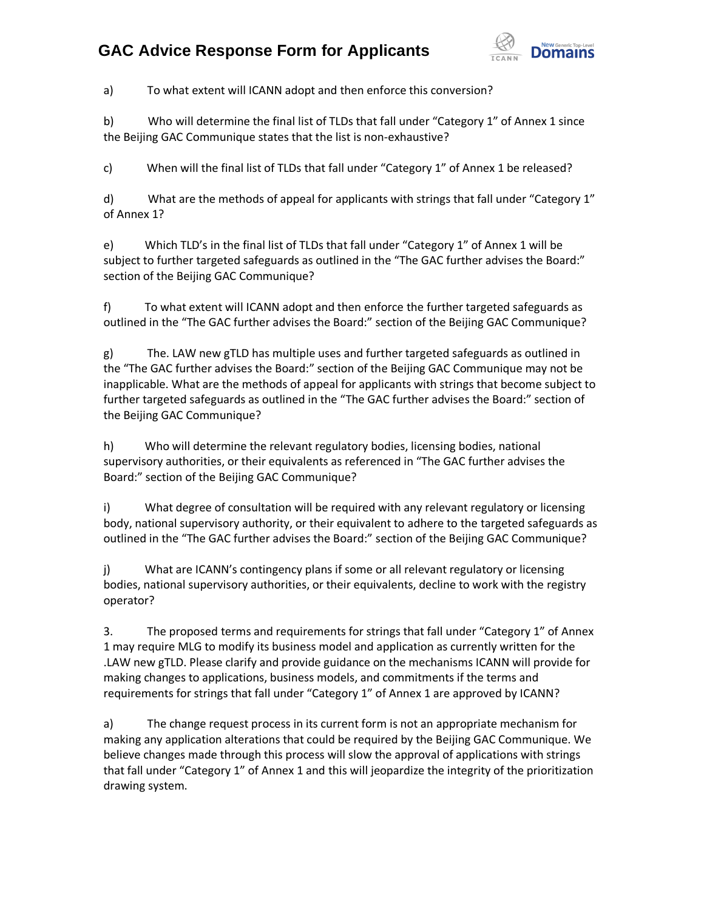## **GAC Advice Response Form for Applicants**



a) To what extent will ICANN adopt and then enforce this conversion?

b) Who will determine the final list of TLDs that fall under "Category 1" of Annex 1 since the Beijing GAC Communique states that the list is non-exhaustive?

c) When will the final list of TLDs that fall under "Category 1" of Annex 1 be released?

d) What are the methods of appeal for applicants with strings that fall under "Category 1" of Annex 1?

e) Which TLD's in the final list of TLDs that fall under "Category 1" of Annex 1 will be subject to further targeted safeguards as outlined in the "The GAC further advises the Board:" section of the Beijing GAC Communique?

f) To what extent will ICANN adopt and then enforce the further targeted safeguards as outlined in the "The GAC further advises the Board:" section of the Beijing GAC Communique?

g) The. LAW new gTLD has multiple uses and further targeted safeguards as outlined in the "The GAC further advises the Board:" section of the Beijing GAC Communique may not be inapplicable. What are the methods of appeal for applicants with strings that become subject to further targeted safeguards as outlined in the "The GAC further advises the Board:" section of the Beijing GAC Communique?

h) Who will determine the relevant regulatory bodies, licensing bodies, national supervisory authorities, or their equivalents as referenced in "The GAC further advises the Board:" section of the Beijing GAC Communique?

i) What degree of consultation will be required with any relevant regulatory or licensing body, national supervisory authority, or their equivalent to adhere to the targeted safeguards as outlined in the "The GAC further advises the Board:" section of the Beijing GAC Communique?

j) What are ICANN's contingency plans if some or all relevant regulatory or licensing bodies, national supervisory authorities, or their equivalents, decline to work with the registry operator?

3. The proposed terms and requirements for strings that fall under "Category 1" of Annex 1 may require MLG to modify its business model and application as currently written for the .LAW new gTLD. Please clarify and provide guidance on the mechanisms ICANN will provide for making changes to applications, business models, and commitments if the terms and requirements for strings that fall under "Category 1" of Annex 1 are approved by ICANN?

a) The change request process in its current form is not an appropriate mechanism for making any application alterations that could be required by the Beijing GAC Communique. We believe changes made through this process will slow the approval of applications with strings that fall under "Category 1" of Annex 1 and this will jeopardize the integrity of the prioritization drawing system.